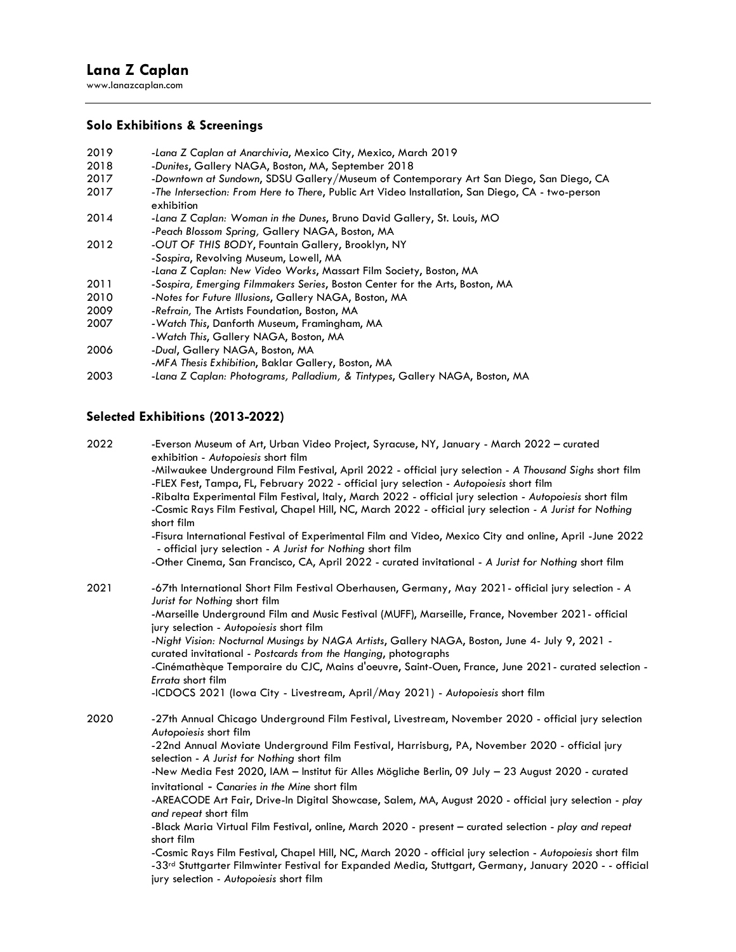# **Lana Z Caplan**

www.lanazcaplan.com

### **Solo Exhibitions & Screenings**

| 2019 | -Lana Z Caplan at Anarchivia, Mexico City, Mexico, March 2019                                                  |
|------|----------------------------------------------------------------------------------------------------------------|
| 2018 | -Dunites, Gallery NAGA, Boston, MA, September 2018                                                             |
| 2017 | -Downtown at Sundown, SDSU Gallery/Museum of Contemporary Art San Diego, San Diego, CA                         |
| 2017 | -The Intersection: From Here to There, Public Art Video Installation, San Diego, CA - two-person<br>exhibition |
| 2014 | -Lana Z Caplan: Woman in the Dunes, Bruno David Gallery, St. Louis, MO                                         |
|      | -Peach Blossom Spring, Gallery NAGA, Boston, MA                                                                |
| 2012 | -OUT OF THIS BODY, Fountain Gallery, Brooklyn, NY                                                              |
|      | -Sospira, Revolving Museum, Lowell, MA                                                                         |
|      | -Lana Z Caplan: New Video Works, Massart Film Society, Boston, MA                                              |
| 2011 | -Sospira, Emerging Filmmakers Series, Boston Center for the Arts, Boston, MA                                   |
| 2010 | -Notes for Future Illusions, Gallery NAGA, Boston, MA                                                          |
| 2009 | -Refrain, The Artists Foundation, Boston, MA                                                                   |
| 2007 | -Watch This, Danforth Museum, Framingham, MA                                                                   |
|      | -Watch This, Gallery NAGA, Boston, MA                                                                          |
| 2006 | -Dual, Gallery NAGA, Boston, MA                                                                                |
|      | -MFA Thesis Exhibition, Baklar Gallery, Boston, MA                                                             |
| 2003 | -Lana Z Caplan: Photograms, Palladium, & Tintypes, Gallery NAGA, Boston, MA                                    |

## **Selected Exhibitions (2013-2022)**

2022 -Everson Museum of Art, Urban Video Project, Syracuse, NY, January - March 2022 – curated exhibition - *Autopoiesis* short film -Milwaukee Underground Film Festival, April 2022 - official jury selection - *A Thousand Sighs* short film -FLEX Fest, Tampa, FL, February 2022 - official jury selection - *Autopoiesis* short film -Ribalta Experimental Film Festival, Italy, March 2022 - official jury selection - *Autopoiesis* short film -Cosmic Rays Film Festival, Chapel Hill, NC, March 2022 - official jury selection *- A Jurist for Nothing* short film -Fisura International Festival of Experimental Film and Video, Mexico City and online, April -June 2022 - official jury selection - *A Jurist for Nothing* short film -Other Cinema, San Francisco, CA, April 2022 - curated invitational - *A Jurist for Nothing* short film 2021 -67th International Short Film Festival Oberhausen, Germany, May 2021- official jury selection - *A Jurist for Nothing* short film -Marseille Underground Film and Music Festival (MUFF), Marseille, France, November 2021- official jury selection - *Autopoiesis* short film -*Night Vision: Nocturnal Musings by NAGA Artists*, Gallery NAGA, Boston, June 4- July 9, 2021 curated invitational - *Postcards from the Hanging*, photographs -Cinémathèque Temporaire du CJC, Mains d'oeuvre, Saint-Ouen, France, June 2021- curated selection - *Errata* short film -ICDOCS 2021 (Iowa City - Livestream, April/May 2021) - *Autopoiesis* short film 2020 -27th Annual Chicago Underground Film Festival, Livestream, November 2020 - official jury selection *Autopoiesis* short film -22nd Annual Moviate Underground Film Festival, Harrisburg, PA, November 2020 - official jury selection - *A Jurist for Nothing* short film -New Media Fest 2020, IAM – Institut für Alles Mögliche Berlin, 09 July – 23 August 2020 - curated invitational - *Canaries in the Mine* short film -AREACODE Art Fair, Drive-In Digital Showcase, Salem, MA, August 2020 - official jury selection - *play and repeat* short film -Black Maria Virtual Film Festival, online, March 2020 - present – curated selection - *play and repeat* short film -Cosmic Rays Film Festival, Chapel Hill, NC, March 2020 - official jury selection - *Autopoiesis* short film -33<sup>rd</sup> Stuttgarter Filmwinter Festival for Expanded Media, Stuttgart, Germany, January 2020 - - official jury selection *- Autopoiesis* short film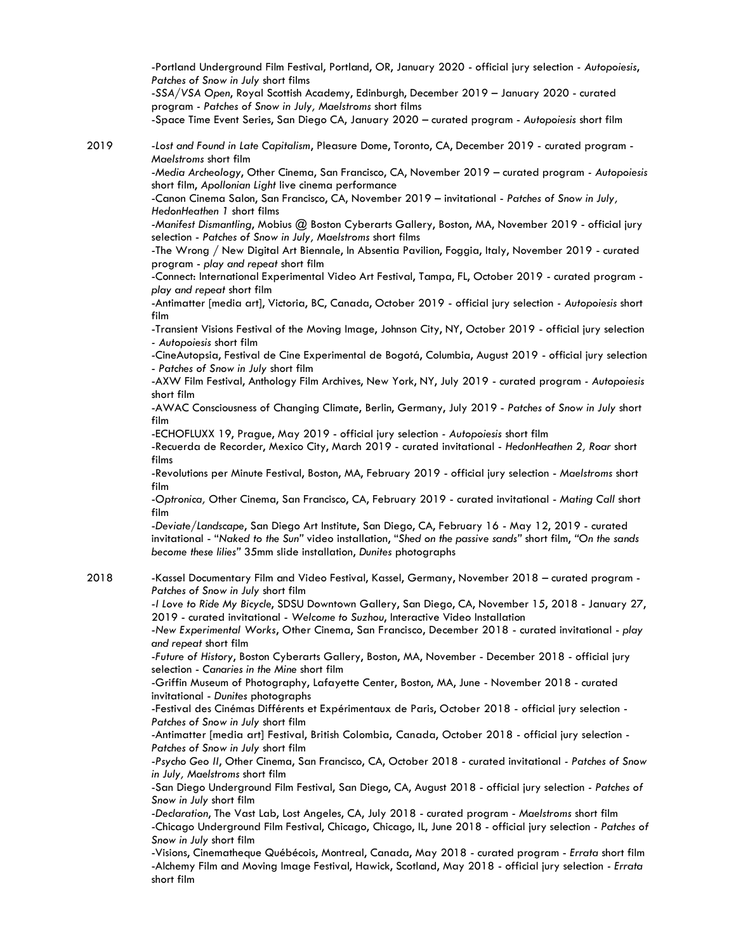-Portland Underground Film Festival, Portland, OR, January 2020 - official jury selection *- Autopoiesis*, *Patches of Snow in July* short films

-*SSA/VSA Open*, Royal Scottish Academy, Edinburgh, December 2019 – January 2020 - curated program *- Patches of Snow in July, Maelstroms* short films

-Space Time Event Series, San Diego CA, January 2020 – curated program - *Autopoiesis* short film

2019 -*Lost and Found in Late Capitalism*, Pleasure Dome, Toronto, CA, December 2019 - curated program - *Maelstroms* short film

-*Media Archeology*, Other Cinema, San Francisco, CA, November 2019 – curated program *- Autopoiesis* short film, *Apollonian Light* live cinema performance

-Canon Cinema Salon, San Francisco, CA, November 2019 – invitational - *Patches of Snow in July, HedonHeathen 1* short films

-*Manifest Dismantling*, Mobius @ Boston Cyberarts Gallery, Boston, MA, November 2019 - official jury selection - *Patches of Snow in July, Maelstroms* short films

-The Wrong / New Digital Art Biennale, In Absentia Pavilion, Foggia, Italy, November 2019 - curated program - *play and repeat* short film

-Connect: International Experimental Video Art Festival, Tampa, FL, October 2019 - curated program *play and repeat* short film

-Antimatter [media art], Victoria, BC, Canada, October 2019 - official jury selection *- Autopoiesis* short film

-Transient Visions Festival of the Moving Image, Johnson City, NY, October 2019 - official jury selection *- Autopoiesis* short film

-CineAutopsia, Festival de Cine Experimental de Bogotá, Columbia, August 2019 - official jury selection - *Patches of Snow in July* short film

-AXW Film Festival, Anthology Film Archives, New York, NY, July 2019 - curated program *- Autopoiesis* short film

-AWAC Consciousness of Changing Climate, Berlin, Germany, July 2019 - *Patches of Snow in July* short film

-ECHOFLUXX 19, Prague, May 2019 - official jury selection *- Autopoiesis* short film

-Recuerda de Recorder, Mexico City, March 2019 - curated invitational - *HedonHeathen 2, Roar* short films

-Revolutions per Minute Festival, Boston, MA, February 2019 - official jury selection - *Maelstroms* short film

-*Optronica,* Other Cinema, San Francisco, CA, February 2019 - curated invitational - *Mating Call* short film

-*Deviate/Landscape*, San Diego Art Institute, San Diego, CA, February 16 - May 12, 2019 - curated invitational - "*Naked to the Sun"* video installation, "*Shed on the passive sands"* short film, *"On the sands become these lilies"* 35mm slide installation, *Dunites* photographs

2018 -Kassel Documentary Film and Video Festival, Kassel, Germany, November 2018 – curated program - *Patches of Snow in July* short film

> -*I Love to Ride My Bicycle*, SDSU Downtown Gallery, San Diego, CA, November 15, 2018 - January 27, 2019 - curated invitational - *Welcome to Suzhou*, Interactive Video Installation

> -*New Experimental Works*, Other Cinema, San Francisco, December 2018 - curated invitational - *play and repeat* short film

-*Future of History*, Boston Cyberarts Gallery, Boston, MA, November - December 2018 - official jury selection - *Canaries in the Mine* short film

-Griffin Museum of Photography, Lafayette Center, Boston, MA, June - November 2018 - curated invitational - *Dunites* photographs

-Festival des Cinémas Différents et [Expérimentaux](http://lanazcaplan.com/festival-des-cinemas-differents-et-experimentaux-de-paris/) de Paris, October 2018 - official jury selection - *Patches of Snow in July* short film

-Antimatter [media art] Festival, British Colombia, Canada, October 2018 - official jury selection - *Patches of Snow in July* short film

-*Psycho Geo II*, Other Cinema, San Francisco, CA, October 2018 - curated invitational *- Patches of Snow in July, Maelstroms* short film

-San Diego Underground Film Festival, San Diego, CA, August 2018 - official jury selection *- Patches of Snow in July* short film

-*Declaration*, The Vast Lab, Lost Angeles, CA, July 2018 - curated program - *Maelstroms* short film -Chicago Underground Film Festival, Chicago, Chicago, IL, June 2018 - official jury selection *- Patches of Snow in July* short film

-Visions, Cinematheque Québécois, Montreal, Canada, May 2018 - curated program - *Errata* short film -Alchemy Film and Moving Image Festival, Hawick, Scotland, May 2018 - official jury selection *- Errata* short film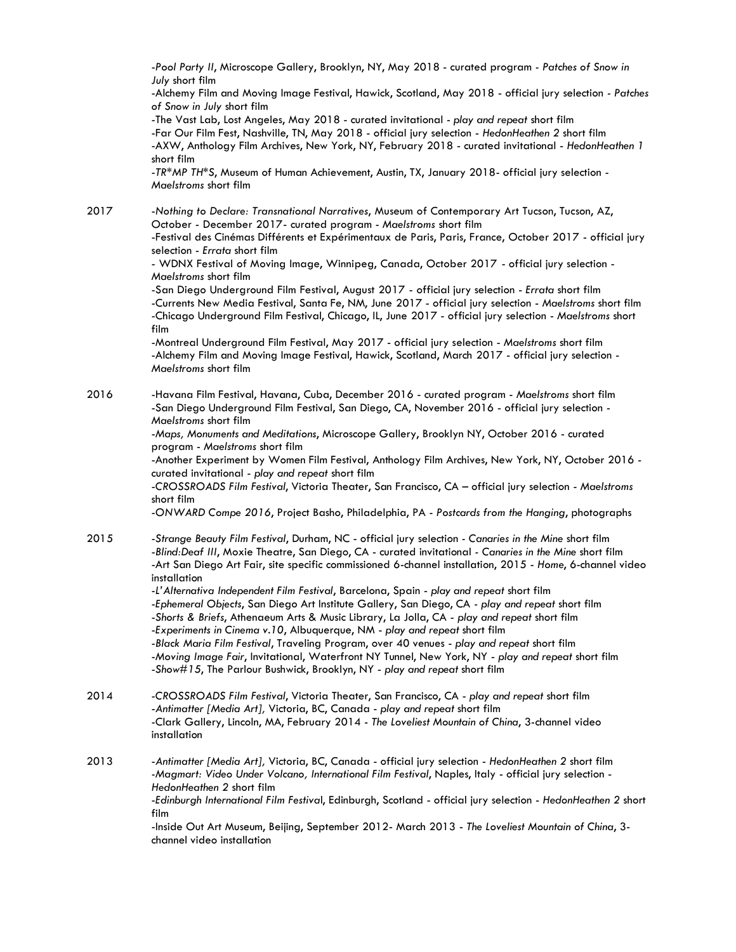-*Pool Party II*, Microscope Gallery, Brooklyn, NY, May 2018 - curated program *- Patches of Snow in July* short film

-Alchemy Film and Moving Image Festival, Hawick, Scotland, May 2018 - official jury selection *- Patches of Snow in July* short film

-The Vast Lab, Lost Angeles, May 2018 - curated invitational - *play and repeat* short film -Far Our Film Fest, Nashville, TN, May 2018 - official jury selection - *HedonHeathen 2* short film -AXW, Anthology Film Archives, New York, NY, February 2018 - curated invitational - *HedonHeathen 1* short film

-*TR\*MP TH\*S*, Museum of Human Achievement, Austin, TX, January 2018- official jury selection - *Maelstroms* short film

2017 -*Nothing to Declare: Transnational Narratives*, Museum of Contemporary Art Tucson, Tucson, AZ, October - December 2017- curated program - *Maelstroms* short film

-Festival des Cinémas Différents et [Expérimentaux](http://lanazcaplan.com/festival-des-cinemas-differents-et-experimentaux-de-paris/) de Paris, Paris, France, October 2017 - official jury selection - *Errata* short film

- WDNX Festival of Moving Image, Winnipeg, Canada, October 2017 - official jury selection - *Maelstroms* short film

-San Diego Underground Film Festival, August 2017 - official jury selection - *Errata* short film -Currents New Media Festival, Santa Fe, NM, June 2017 - official jury selection - *Maelstroms* short film -Chicago Underground Film Festival, Chicago, IL, June 2017 - official jury selection - *Maelstroms* short film

-Montreal Underground Film Festival, May 2017 - official jury selection - *Maelstroms* short film -Alchemy Film and Moving Image Festival, Hawick, Scotland, March 2017 - official jury selection - *Maelstroms* short film

2016 -Havana Film Festival, Havana, Cuba, December 2016 - curated program - *Maelstroms* short film -San Diego Underground Film Festival, San Diego, CA, November 2016 - official jury selection - *Maelstroms* short film

> -*Maps, Monuments and Meditations*, Microscope Gallery, Brooklyn NY, October 2016 - curated program - *Maelstroms* short film

-Another Experiment by Women Film Festival, Anthology Film Archives, New York, NY, October 2016 curated invitational - *play and repeat* short film

-*CROSSROADS Film Festival*, Victoria Theater, San Francisco, CA – official jury selection - *Maelstroms* short film

-*ONWARD Compe 2016*, Project Basho, Philadelphia, PA - *Postcards from the Hanging*, photographs

2015 -*Strange Beauty Film Festival*, Durham, NC - official jury selection *- Canaries in the Mine* short film -*Blind:Deaf III*, Moxie Theatre, San Diego, CA - curated invitational *- Canaries in the Mine* short film -Art San Diego Art Fair, site specific commissioned 6-channel installation, 2015 - *Home*, 6-channel video installation

> -*L'Alternativa Independent Film Festival*, Barcelona, Spain - *play and repeat* short film -*Ephemeral Objects*, San Diego Art Institute Gallery, San Diego, CA *- play and repeat* short film -*Shorts & Briefs*, Athenaeum Arts & Music Library, La Jolla, CA - *play and repeat* short film -*Experiments in Cinema v.10*, Albuquerque, NM - *play and repeat* short film -*Black Maria Film Festival*, Traveling Program, over 40 venues - *play and repeat* short film -*Moving Image Fair*, Invitational, Waterfront NY Tunnel, New York, NY - *play and repeat* short film -*Show#15*, The Parlour Bushwick, Brooklyn, NY - *play and repeat* short film

2014 -*CROSSROADS Film Festival*, Victoria Theater, San Francisco, CA - *play and repeat* short film -*Antimatter [Media Art],* Victoria, BC, Canada - *play and repeat* short film -Clark Gallery, Lincoln, MA, February 2014 - *The Loveliest Mountain of China*, 3-channel video installation

2013 -*Antimatter [Media Art],* Victoria, BC, Canada - official jury selection - *HedonHeathen 2* short film *-Magmart: Video Under Volcano, International Film Festival*, Naples, Italy - official jury selection - *HedonHeathen 2* short film -*Edinburgh International Film Festiva*l, Edinburgh, Scotland - official jury selection - *HedonHeathen 2* short film -Inside Out Art Museum, Beijing, September 2012- March 2013 - *The Loveliest Mountain of China*, 3 channel video installation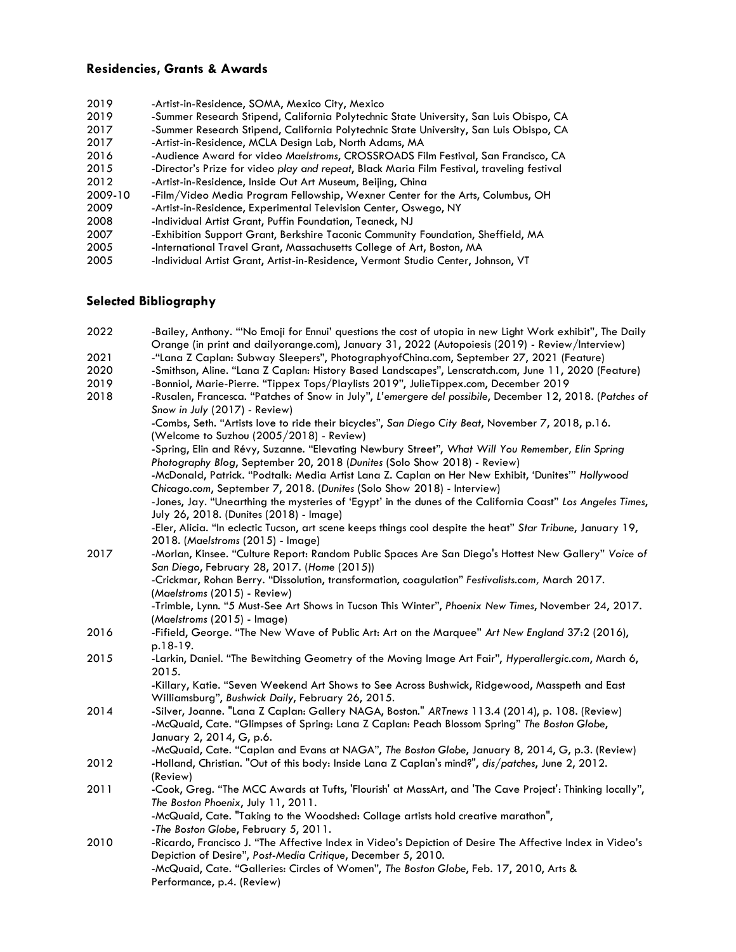## **Residencies, Grants & Awards**

- 2019 -Artist-in-Residence, SOMA, Mexico City, Mexico 2019 -Summer Research Stipend, California Polytechnic State University, San Luis Obispo, CA 2017 -Summer Research Stipend, California Polytechnic State University, San Luis Obispo, CA 2017 -Artist-in-Residence, MCLA Design Lab, North Adams, MA 2016 -Audience Award for video *Maelstroms*, CROSSROADS Film Festival, San Francisco, CA 2015 -Director's Prize for video *play and repeat*, Black Maria Film Festival, traveling festival -Artist-in-Residence, Inside Out Art Museum, Beijing, China 2009-10 -Film/Video Media Program Fellowship, Wexner Center for the Arts, Columbus, OH<br>2009 - Artist-in-Residence, Experimental Television Center, Oswego, NY -Artist-in-Residence, Experimental Television Center, Oswego, NY 2008 -Individual Artist Grant, Puffin Foundation, Teaneck, NJ
- 2007 -Exhibition Support Grant, Berkshire Taconic Community Foundation, Sheffield, MA
- 2005 -International Travel Grant, Massachusetts College of Art, Boston, MA
- 2005 -Individual Artist Grant, Artist-in-Residence, Vermont Studio Center, Johnson, VT

#### **Selected Bibliography**

| 2022 | -Bailey, Anthony. "'No Emoji for Ennui' questions the cost of utopia in new Light Work exhibit", The Daily                                                                   |
|------|------------------------------------------------------------------------------------------------------------------------------------------------------------------------------|
|      | Orange (in print and dailyorange.com), January 31, 2022 (Autopoiesis (2019) - Review/Interview)                                                                              |
| 2021 | -"Lana Z Caplan: Subway Sleepers", PhotographyofChina.com, September 27, 2021 (Feature)                                                                                      |
| 2020 | -Smithson, Aline. "Lana Z Caplan: History Based Landscapes", Lenscratch.com, June 11, 2020 (Feature)                                                                         |
| 2019 | -Bonniol, Marie-Pierre. "Tippex Tops/Playlists 2019", JulieTippex.com, December 2019                                                                                         |
| 2018 | -Rusalen, Francesca. "Patches of Snow in July", L'emergere del possibile, December 12, 2018. (Patches of                                                                     |
|      | Snow in July (2017) - Review)                                                                                                                                                |
|      | -Combs, Seth. "Artists love to ride their bicycles", San Diego City Beat, November 7, 2018, p.16.<br>(Welcome to Suzhou (2005/2018) - Review)                                |
|      | -Spring, Elin and Révy, Suzanne. "Elevating Newbury Street", What Will You Remember, Elin Spring<br>Photography Blog, September 20, 2018 (Dunites (Solo Show 2018) - Review) |
|      | -McDonald, Patrick. "Podtalk: Media Artist Lana Z. Caplan on Her New Exhibit, 'Dunites'" Hollywood                                                                           |
|      | Chicago.com, September 7, 2018. (Dunites (Solo Show 2018) - Interview)                                                                                                       |
|      | -Jones, Jay. "Unearthing the mysteries of 'Egypt' in the dunes of the California Coast" Los Angeles Times,<br>July 26, 2018. (Dunites (2018) - Image)                        |
|      | -Eler, Alicia. "In eclectic Tucson, art scene keeps things cool despite the heat" Star Tribune, January 19,                                                                  |
|      | 2018. (Maelstroms (2015) - Image)                                                                                                                                            |
| 2017 | -Morlan, Kinsee. "Culture Report: Random Public Spaces Are San Diego's Hottest New Gallery" Voice of                                                                         |
|      | San Diego, February 28, 2017. (Home (2015))                                                                                                                                  |
|      | -Crickmar, Rohan Berry. "Dissolution, transformation, coagulation" Festivalists.com, March 2017.                                                                             |
|      | (Maelstroms (2015) - Review)                                                                                                                                                 |
|      | -Trimble, Lynn. "5 Must-See Art Shows in Tucson This Winter", Phoenix New Times, November 24, 2017.                                                                          |
|      | (Maelstroms (2015) - Image)                                                                                                                                                  |
| 2016 | -Fifield, George. "The New Wave of Public Art: Art on the Marquee" Art New England 37:2 (2016),                                                                              |
|      | p.18-19.                                                                                                                                                                     |
| 2015 | -Larkin, Daniel. "The Bewitching Geometry of the Moving Image Art Fair", Hyperallergic.com, March 6,                                                                         |
|      | 2015.                                                                                                                                                                        |
|      | -Killary, Katie. "Seven Weekend Art Shows to See Across Bushwick, Ridgewood, Masspeth and East                                                                               |
|      | Williamsburg", Bushwick Daily, February 26, 2015.                                                                                                                            |
| 2014 | -Silver, Joanne. "Lana Z Caplan: Gallery NAGA, Boston." ARTnews 113.4 (2014), p. 108. (Review)                                                                               |
|      | -McQuaid, Cate. "Glimpses of Spring: Lana Z Caplan: Peach Blossom Spring" The Boston Globe,                                                                                  |
|      | January 2, 2014, G, p.6.                                                                                                                                                     |
|      | -McQuaid, Cate. "Caplan and Evans at NAGA", The Boston Globe, January 8, 2014, G, p.3. (Review)                                                                              |
| 2012 | -Holland, Christian. "Out of this body: Inside Lana Z Caplan's mind?", dis/patches, June 2, 2012.                                                                            |
|      | (Review)                                                                                                                                                                     |
| 2011 | -Cook, Greg. "The MCC Awards at Tufts, 'Flourish' at MassArt, and 'The Cave Project': Thinking locally",                                                                     |
|      | The Boston Phoenix, July 11, 2011.                                                                                                                                           |
|      | -McQuaid, Cate. "Taking to the Woodshed: Collage artists hold creative marathon",                                                                                            |
|      | -The Boston Globe, February 5, 2011.                                                                                                                                         |
| 2010 | -Ricardo, Francisco J. "The Affective Index in Video's Depiction of Desire The Affective Index in Video's                                                                    |
|      | Depiction of Desire", Post-Media Critique, December 5, 2010.                                                                                                                 |
|      | -McQuaid, Cate. "Galleries: Circles of Women", The Boston Globe, Feb. 17, 2010, Arts &                                                                                       |
|      | Performance, p.4. (Review)                                                                                                                                                   |